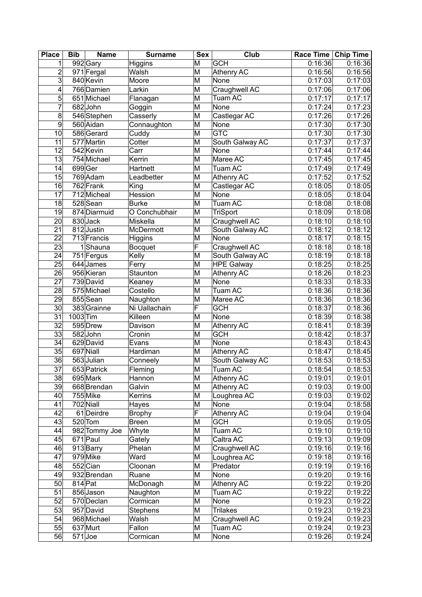| <b>Place</b>    | <b>Bib</b> | <b>Name</b>   | <b>Surname</b>  | <b>Sex</b>              | Club              | Race Time   Chip Time |         |
|-----------------|------------|---------------|-----------------|-------------------------|-------------------|-----------------------|---------|
| 1               |            | 992 Gary      | Higgins         | M                       | <b>GCH</b>        | 0:16:36               | 0:16:36 |
| $\overline{c}$  |            | 971 Fergal    | Walsh           | M                       | <b>Athenry AC</b> | 0:16:56               | 0:16:56 |
| $\overline{3}$  |            | 840 Kevin     | Moore           | M                       | None              | 0:17:03               | 0:17:03 |
| 4               |            | 766 Damien    | Larkin          | M                       | Craughwell AC     | 0:17:06               | 0:17:06 |
| 5               |            | 651 Michael   | Flanagan        | M                       | <b>Tuam AC</b>    | 0:17:17               | 0:17:17 |
| 7               |            | 682John       | Goggin          | M                       | None              | 0:17:24               | 0:17:23 |
| 8               |            | 546Stephen    | Casserly        | M                       | Castlegar AC      | 0:17:26               | 0:17:26 |
| 9               |            | 560 Aidan     | Connaughton     | M                       | None              | 0:17:30               | 0:17:30 |
| 10              |            | 586 Gerard    | Cuddy           | M                       | <b>GTC</b>        | 0:17:30               | 0:17:30 |
| 11              |            | 577 Martin    | Cotter          | M                       | South Galway AC   | 0:17:37               | 0:17:37 |
| $\overline{12}$ |            | 542 Kevin     | Carr            | M                       | None              | 0:17:44               | 0:17:44 |
| 13              |            | 754 Michael   | Kerrin          | M                       | Maree AC          | 0:17:45               | 0:17:45 |
| 14              |            | 699Ger        | Hartnett        | M                       | Tuam AC           | 0:17:49               | 0:17:49 |
| 15              |            | 769 Adam      | Leadbetter      | M                       | <b>Athenry AC</b> | 0:17:52               | 0:17:52 |
| 16              |            | 762 Frank     |                 | M                       |                   | 0:18:05               | 0:18:05 |
| 17              |            |               | King            |                         | Castlegar AC      |                       |         |
|                 |            | 712 Micheal   | Hession         | M                       | None              | 0:18:05               | 0:18:04 |
| 18              |            | 528 Sean      | <b>Burke</b>    | M                       | Tuam AC           | 0:18:08               | 0:18:08 |
| 19              |            | 874 Diarmuid  | O Conchubhair   | M                       | <b>TriSport</b>   | 0:18:09               | 0:18:08 |
| 20              |            | 830 Jack      | Miskella        | M                       | Craughwell AC     | 0:18:10               | 0:18:10 |
| 21              |            | 812Justin     | McDermott       | M                       | South Galway AC   | 0:18:12               | 0:18:12 |
| 22              |            | 713 Francis   | Higgins         | M                       | None              | 0:18:17               | 0:18:15 |
| 23              |            | 1Shauna       | <b>Bocquet</b>  | F                       | Craughwell AC     | 0:18:18               | 0:18:18 |
| 24              |            | 751 Fergus    | Kelly           | M                       | South Galway AC   | 0:18:19               | 0:18:18 |
| $\overline{25}$ |            | 644 James     | Ferry           | M                       | <b>HPE Galway</b> | 0:18:25               | 0:18:25 |
| 26              |            | 956 Kieran    | Staunton        | M                       | <b>Athenry AC</b> | 0:18:26               | 0:18:23 |
| 27              |            | 739 David     | Keaney          | M                       | None              | 0:18:33               | 0:18:33 |
| 28              |            | 575 Michael   | Costello        | M                       | Tuam AC           | 0:18:36               | 0:18:36 |
| 29              |            | 855 Sean      | Naughton        | M                       | Maree AC          | 0:18:36               | 0:18:36 |
| 30              |            | 383 Grainne   | Ni Uallachain   | F                       | <b>GCH</b>        | 0:18:37               | 0:18:36 |
| $\overline{31}$ | 1003 Tim   |               | Killeen         | M                       | None              | 0:18:39               | 0:18:38 |
| 32              |            | 595 Drew      | Davison         | M                       | Athenry AC        | 0:18:41               | 0:18:39 |
| 33              |            | $582$ John    | Cronin          | M                       | <b>GCH</b>        | 0:18:42               | 0:18:37 |
| 34              |            | 629 David     | Evans           | M                       | None              | 0:18:43               | 0:18:43 |
| 35              |            | 697 Niall     | Hardiman        | M                       | Athenry AC        | 0:18:47               | 0:18:45 |
| 36              |            | 563 Julian    | Conneely        | $\overline{\mathsf{M}}$ | South Galway AC   | 0:18:53               | 0:18:53 |
| 37              |            | 653 Patrick   | Fleming         | M                       | Tuam AC           | 0:18:54               | 0:18:53 |
| 38              |            | 695 Mark      | Hannon          | M                       | Athenry AC        | 0:19:01               | 0:19:01 |
| 39              |            | 668 Brendan   | Galvin          | M                       | Athenry AC        | 0:19:03               | 0:19:00 |
| 40              |            | 755 Mike      | Kerrins         | M                       | Loughrea AC       | 0:19:03               | 0:19:02 |
| 41              |            | 702 Niall     | Hayes           | M                       | None              | 0:19:04               | 0:18:58 |
| 42              |            | 61 Deirdre    | <b>Brophy</b>   | F                       | <b>Athenry AC</b> | 0:19:04               | 0:19:04 |
| 43              |            | $520$ Tom     | Breen           | M                       | <b>GCH</b>        | 0:19:05               | 0:19:05 |
| 44              |            | 982 Tommy Joe | Whyte           | M                       | Tuam AC           | 0:19:10               | 0:19:10 |
| 45              |            | 671 Paul      | Gately          | M                       | Caltra AC         | 0:19:13               | 0:19:09 |
| 46              |            | 913 Barry     | Phelan          | M                       | Craughwell AC     | 0:19:16               | 0:19:16 |
| 47              |            | 979 Mike      | Ward            | M                       |                   | 0:19:18               | 0:19:16 |
|                 |            |               |                 |                         | Loughrea AC       |                       |         |
| 48              |            | 552 Cian      | Cloonan         | M                       | Predator          | 0:19:19               | 0:19:16 |
| 49              |            | 932 Brendan   | Ruane           | M                       | None              | 0:19:20               | 0:19:16 |
| 50              | 814 Pat    |               | McDonagh        | M                       | Athenry AC        | 0:19:22               | 0:19:20 |
| 51              |            | 856 Jason     | Naughton        | M                       | Tuam AC           | 0:19:22               | 0:19:22 |
| 52              |            | 570 Declan    | Cormican        | M                       | None              | 0:19:23               | 0:19:22 |
| 53              |            | 957 David     | <b>Stephens</b> | M                       | <b>Trilakes</b>   | 0:19:23               | 0:19:23 |
| 54              |            | 968 Michael   | Walsh           | M                       | Craughwell AC     | 0:19:24               | 0:19:23 |
| 55              |            | 637 Murt      | Fallon          | M                       | Tuam AC           | 0:19:24               | 0:19:23 |
| 56              | $571$ Joe  |               | Cormican        | M                       | None              | 0:19:26               | 0:19:24 |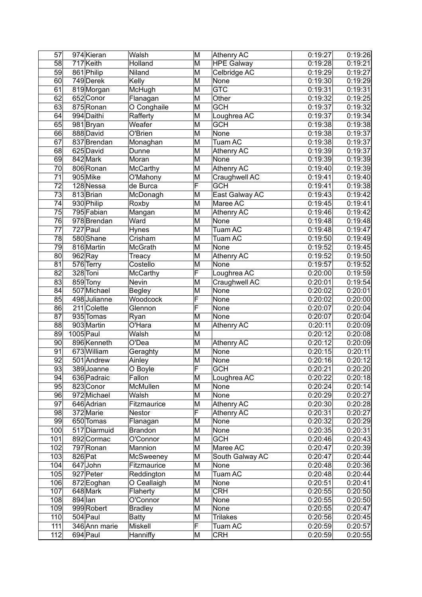| 57                    | 974 Kieran              | Walsh                     | M                            | Athenry AC            | 0:19:27            | 0:19:26            |
|-----------------------|-------------------------|---------------------------|------------------------------|-----------------------|--------------------|--------------------|
| 58                    | 717 Keith               | Holland                   | M                            | <b>HPE Galway</b>     | 0:19:28            | 0:19:21            |
| 59                    | 861 Philip              | Niland                    | M                            | Celbridge AC          | 0:19:29            | 0:19:27            |
| 60                    | 749 Derek               | Kelly                     | M                            | None                  | 0:19:30            | 0:19:29            |
| 61                    | 819 Morgan              | McHugh                    | M                            | <b>GTC</b>            | 0:19:31            | 0:19:31            |
| 62                    | 652 Conor               | Flanagan                  | M                            | Other                 | 0:19:32            | 0:19:25            |
| 63                    | 875 Ronan               | O Conghaile               | M                            | <b>GCH</b>            | 0:19:37            | 0:19:32            |
| 64                    | 994 Daithi              | Rafferty                  | M                            | Loughrea AC           | 0:19:37            | 0:19:34            |
| 65                    | 981 Bryan               | Weafer                    | M                            | <b>GCH</b>            | 0:19:38            | 0:19:38            |
| 66                    | 888 David               | O'Brien                   | M                            | None                  | 0:19:38            | 0:19:37            |
| 67                    | 837 Brendan             | Monaghan                  | M                            | Tuam AC               | 0:19:38            | 0:19:37            |
| 68                    | 625 David               | Dunne                     | M                            | Athenry AC            | 0:19:39            | 0:19:37            |
| 69                    | 842 Mark                | Moran                     | M                            | None                  | 0:19:39            | 0:19:39            |
| 70                    | 806 Ronan               | McCarthy                  | M                            | Athenry AC            | 0:19:40            | 0:19:39            |
| 71                    | 905 Mike                | O'Mahony                  | M                            | Craughwell AC         | 0:19:41            | 0:19:40            |
| 72                    | 128 Nessa               | de Burca                  | $\overline{\mathsf{F}}$      | <b>GCH</b>            | 0:19:41            | 0:19:38            |
| 73                    | 813 Brian               | McDonagh                  | M                            | East Galway AC        | 0:19:43            | 0:19:42            |
| 74                    | 930 Philip              | Roxby                     | M                            | Maree AC              | 0:19:45            | 0:19:41            |
| 75                    | 795 Fabian              | Mangan                    | M                            | Athenry AC            | 0:19:46            | 0:19:42            |
| 76                    | 978 Brendan             | Ward                      | M                            | None                  | 0:19:48            | 0:19:48            |
| 77                    | 727 Paul                |                           | M                            | Tuam AC               | 0:19:48            |                    |
| 78                    | 580 Shane               | Hynes<br>Crisham          | M                            | Tuam AC               | 0:19:50            | 0:19:47            |
| 79                    | 816 Martin              | <b>McGrath</b>            | $\overline{\mathsf{M}}$      | <b>None</b>           | 0:19:52            | 0:19:49            |
|                       |                         |                           | M                            |                       |                    | 0:19:45            |
| 80<br>81              | $962$ Ray               | Treacy                    |                              | Athenry AC            | 0:19:52            | 0:19:50            |
| 82                    | 576 Terry<br>328 Toni   | Costello                  | M<br>F                       | None<br>Loughrea AC   | 0:19:57            | 0:19:52            |
| 83                    |                         | McCarthy<br>Nevin         | M                            |                       | 0:20:00            | 0:19:59<br>0:19:54 |
|                       | 859 Tony<br>507 Michael |                           | M                            | Craughwell AC<br>None | 0:20:01<br>0:20:02 |                    |
| 84<br>$\overline{85}$ | 498 Julianne            | <b>Begley</b><br>Woodcock | F                            | None                  | 0:20:02            | 0:20:01            |
| 86                    | 211 Colette             | Glennon                   | F                            | None                  | 0:20:07            | 0:20:00<br>0:20:04 |
| 87                    | 935 Tomas               | Ryan                      | M                            | None                  | 0:20:07            | 0:20:04            |
| 88                    | 903 Martin              | $\overline{O}$ 'Hara      | M                            | Athenry AC            | 0:20:11            | 0:20:09            |
| 89                    | $1005$ Paul             | Walsh                     | M                            |                       | 0:20:12            | 0:20:08            |
| 90                    | 896 Kenneth             | O'Dea                     | M                            | <b>Athenry AC</b>     | 0:20:12            | 0:20:09            |
| 91                    | 673 William             | Geraghty                  | M                            | None                  | 0:20:15            | 0:20:11            |
| $\overline{92}$       | 501 Andrew              | Ainley                    | M                            | None                  | 0:20:16            | 0:20:12            |
| $\overline{93}$       | 389 Joanne              | O Boyle                   | $\overline{\mathsf{F}}$      | <b>GCH</b>            | 0:20:21            | 0:20:20            |
|                       |                         |                           |                              |                       |                    |                    |
| 94                    | 636 Padraic             | Fallon                    | M                            | Loughrea AC           | 0:20:22            | 0:20:18            |
| 95                    | 823 Conor               | McMullen                  | M                            | None                  | 0:20:24            | 0:20:14            |
| 96                    | 972 Michael             | Walsh                     | M                            | None                  | 0:20:29            | 0:20:27            |
| 97                    | 646 Adrian              | Fitzmaurice               | M<br>$\overline{\mathsf{F}}$ | Athenry AC            | 0:20:30            | 0:20:28            |
| 98                    | 372 Marie               | Nestor                    |                              | Athenry AC            | 0:20:31            | 0:20:27            |
| 99                    | 650 Tomas               | Flanagan                  | M                            | None                  | 0:20:32            | 0:20:29            |
| 100                   | 517 Diarmuid            | Brandon                   | M                            | None                  | 0:20:35            | 0:20:31            |
| 101                   | 892 Cormac              | O'Connor                  | M                            | <b>GCH</b>            | 0:20:46            | 0:20:43            |
| 102                   | 797 Ronan               | Mannion                   | M                            | Maree AC              | 0:20:47            | 0:20:39            |
| 103                   | 826 Pat                 | McSweeney                 | M                            | South Galway AC       | 0:20:47            | 0:20:44            |
| 104                   | 647 John                | Fitzmaurice               | M                            | None                  | 0:20:48            | 0:20:36            |
| 105                   | 927 Peter               | Reddington                | M                            | Tuam AC               | 0:20:48            | 0:20:44            |
| 106                   | 872 Eoghan              | O Ceallaigh               | M                            | None<br><b>CRH</b>    | 0:20:51            | 0:20:41            |
| 107<br>108            | 648 Mark<br>$894$  lan  | Flaherty<br>O'Connor      | M<br>M                       | None                  | 0:20:55<br>0:20:55 | 0:20:50<br>0:20:50 |
| 109                   | 999 Robert              | <b>Bradley</b>            | M                            | None                  | 0:20:55            | 0:20:47            |
| 110                   | 504 Paul                |                           | M                            | <b>Trilakes</b>       | 0:20:56            | 0:20:45            |
| 111                   |                         | <b>Batty</b><br>Miskell   | $\overline{\mathsf{F}}$      |                       | 0:20:59            | 0:20:57            |
|                       | 346 Ann marie           |                           | M                            | Tuam AC<br><b>CRH</b> |                    |                    |
| 112                   | 694 Paul                | Hanniffy                  |                              |                       | 0:20:59            | 0:20:55            |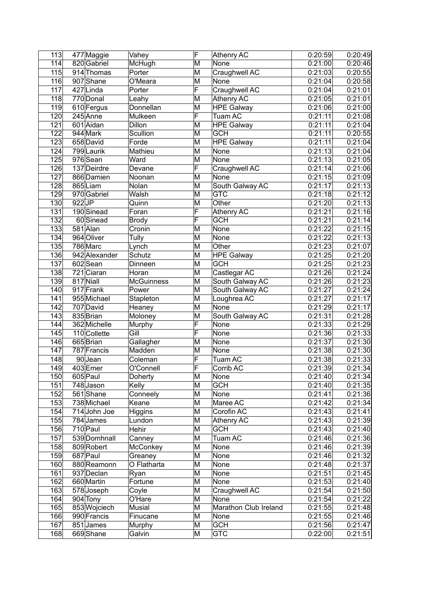| 113 | 477 Maggie    | Vahey             | F                       | <b>Athenry AC</b>     | 0:20:59 | 0:20:49 |
|-----|---------------|-------------------|-------------------------|-----------------------|---------|---------|
| 114 | 820 Gabriel   | McHugh            | $\overline{\mathsf{M}}$ | None                  | 0:21:00 | 0:20:46 |
| 115 | 914 Thomas    | Porter            | M                       | Craughwell AC         | 0:21:03 | 0:20:55 |
| 116 | 907 Shane     | O'Meara           | M                       | None                  | 0:21:04 | 0:20:58 |
| 117 | 427Linda      | Porter            | F                       | Craughwell AC         | 0:21:04 | 0:21:01 |
| 118 | 770 Donal     | Leahy             | M                       | <b>Athenry AC</b>     | 0:21:05 | 0:21:01 |
| 119 | 610 Fergus    | Donnellan         | M                       | <b>HPE Galway</b>     | 0:21:06 | 0:21:00 |
| 120 | 245 Anne      | Mulkeen           | $\overline{\mathsf{F}}$ | Tuam AC               | 0:21:11 | 0:21:08 |
| 121 | 601 Aidan     | Dillon            | M                       | <b>HPE Galway</b>     | 0:21:11 | 0:21:04 |
| 122 | 944 Mark      | Scullion          | M                       | <b>GCH</b>            | 0:21:11 | 0:20:55 |
| 123 | 658 David     | Forde             | M                       | <b>HPE</b> Galway     | 0:21:11 | 0:21:04 |
| 124 | 799 Laurik    | Mathieu           | M                       | None                  | 0:21:13 | 0:21:04 |
| 125 | 976 Sean      | Ward              | M                       | None                  | 0:21:13 | 0:21:05 |
|     |               |                   | $\overline{\mathsf{F}}$ |                       |         |         |
| 126 | 137 Deirdre   | Devane            |                         | Craughwell AC         | 0:21:14 | 0:21:06 |
| 127 | 866 Damien    | Noonan            | M                       | None                  | 0:21:15 | 0:21:09 |
| 128 | 865Liam       | Nolan             | M                       | South Galway AC       | 0:21:17 | 0:21:13 |
| 129 | 970 Gabriel   | Walsh             | M                       | <b>GTC</b>            | 0:21:18 | 0:21:12 |
| 130 | $922$ JP      | Quinn             | $\overline{\mathsf{M}}$ | Other                 | 0:21:20 | 0:21:13 |
| 131 | 190Sinead     | Foran             | $\overline{\mathsf{F}}$ | <b>Athenry AC</b>     | 0:21:21 | 0:21:16 |
| 132 | 60 Sinead     | <b>Brody</b>      | F                       | <b>GCH</b>            | 0:21:21 | 0:21:14 |
| 133 | 581 Alan      | Cronin            | M                       | None                  | 0:21:22 | 0:21:15 |
| 134 | 964 Oliver    | Tully             | M                       | None                  | 0:21:22 | 0:21:13 |
| 135 | 786 Marc      | Lynch             | M                       | Other                 | 0:21:23 | 0:21:07 |
| 136 | 942 Alexander | Schutz            | M                       | <b>HPE Galway</b>     | 0:21:25 | 0:21:20 |
| 137 | 602 Sean      | Dinneen           | M                       | <b>GCH</b>            | 0:21:25 | 0:21:23 |
| 138 | 721 Ciaran    | Horan             | M                       | Castlegar AC          | 0:21:26 | 0:21:24 |
| 139 | $817$ Niall   | <b>McGuinness</b> | M                       | South Galway AC       | 0:21:26 | 0:21:23 |
| 140 | 917 Frank     | Power             | M                       | South Galway AC       | 0:21:27 | 0:21:24 |
| 141 | 955 Michael   | Stapleton         | M                       | Loughrea AC           | 0:21:27 | 0:21:17 |
| 142 | 707 David     | Heaney            | M                       | <b>None</b>           | 0:21:29 | 0:21:17 |
| 143 | 835 Brian     | Moloney           | M                       | South Galway AC       | 0:21:31 | 0:21:28 |
| 144 | 362 Michelle  | Murphy            | F                       | None                  | 0:21:33 | 0:21:29 |
| 145 | 110 Collette  | Gill              | F                       | None                  | 0:21:36 | 0:21:33 |
| 146 | 665 Brian     | Gallagher         | M                       | None                  | 0:21:37 | 0:21:30 |
| 147 | 787 Francis   | Madden            | M                       | None                  | 0:21:38 | 0:21:30 |
| 148 | 90Jean        | Coleman           | F                       | Tuam AC               | 0:21:38 | 0:21:33 |
| 149 | $403$ Emer    | O'Connell         | F                       | Corrib AC             | 0:21:39 | 0:21:34 |
| 150 | $605$ Paul    | Doherty           | M                       | None                  | 0:21:40 | 0:21:34 |
| 151 | 748 Jason     | Kelly             | M                       | <b>GCH</b>            | 0:21:40 | 0:21:35 |
| 152 | 561 Shane     | Conneely          | M                       | None                  | 0:21:41 | 0:21:36 |
| 153 | 738 Michael   | Keane             | M                       | Maree AC              | 0:21:42 | 0:21:34 |
| 154 | 714 John Joe  | Higgins           | M                       | Corofin AC            | 0:21:43 | 0:21:41 |
| 155 | 784 James     | Lundon            | M                       | Athenry AC            | 0:21:43 | 0:21:39 |
| 156 | 710 Paul      | Hehir             | M                       | <b>GCH</b>            | 0:21:43 | 0:21:40 |
| 157 | 539 Domhnall  | Canney            | M                       | Tuam AC               | 0:21:46 | 0:21:36 |
| 158 | 809 Robert    | McConkey          | M                       | None                  | 0:21:46 | 0:21:39 |
| 159 | 687 Paul      | Greaney           | M                       | None                  | 0:21:46 | 0:21:32 |
| 160 | 880 Reamonn   | O Flatharta       | M                       | None                  | 0:21:48 | 0:21:37 |
| 161 | 937 Declan    | Ryan              | M                       | None                  | 0:21:51 | 0:21:45 |
| 162 | 660 Martin    | Fortune           | M                       | None                  | 0:21:53 | 0:21:40 |
| 163 | 578Joseph     | Coyle             | M                       | Craughwell AC         | 0:21:54 | 0:21:50 |
| 164 | 904 Tony      | O'Hare            | M                       | None                  | 0:21:54 | 0:21:22 |
| 165 | 853 Wojciech  | Musial            | M                       | Marathon Club Ireland | 0:21:55 | 0:21:48 |
| 166 | 990 Francis   |                   | M                       | None                  | 0:21:55 | 0:21:46 |
| 167 | 851 James     | Finucane          | M                       | <b>GCH</b>            | 0:21:56 | 0:21:47 |
|     |               | Murphy            |                         |                       |         |         |
| 168 | 669Shane      | Galvin            | M                       | <b>GTC</b>            | 0:22:00 | 0:21:51 |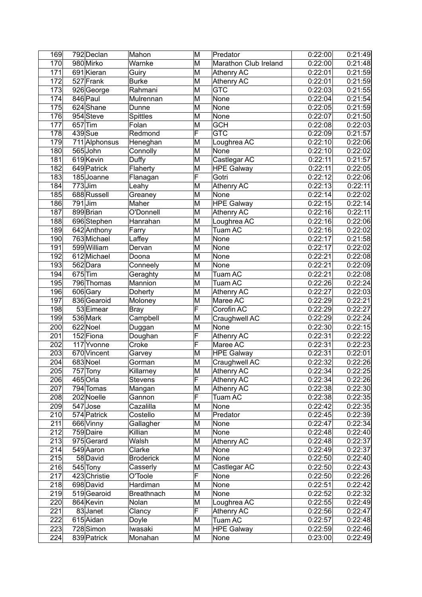| 169              | 792 Declan           | Mahon             | M                       | Predator              | 0:22:00 | 0:21:49 |
|------------------|----------------------|-------------------|-------------------------|-----------------------|---------|---------|
| $\overline{170}$ | 980 Mirko            | Warnke            | M                       | Marathon Club Ireland | 0:22:00 | 0:21:48 |
| 171              | 691 Kieran           | Guiry             | M                       | Athenry AC            | 0:22:01 | 0:21:59 |
| 172              | $527$ Frank          | <b>Burke</b>      | M                       | <b>Athenry AC</b>     | 0:22:01 | 0:21:59 |
| 173              | 926 George           | Rahmani           | M                       | <b>GTC</b>            | 0:22:03 | 0:21:55 |
| 174              | 846 Paul             | Mulrennan         | M                       | None                  | 0:22:04 | 0:21:54 |
| 175              | 624 Shane            | Dunne             | M                       | None                  | 0:22:05 | 0:21:59 |
| 176              | 954 Steve            | <b>Spittles</b>   | M                       | None                  | 0:22:07 | 0:21:50 |
| 177              | $657$ Tim            | Folan             | M                       | <b>GCH</b>            | 0:22:08 | 0:22:03 |
| 178              | $439$ Sue            | Redmond           | F                       | <b>GTC</b>            | 0:22:09 | 0:21:57 |
| 179              | 711 Alphonsus        | Heneghan          | M                       | Loughrea AC           | 0:22:10 | 0:22:06 |
| 180              | 565John              | Connolly          | M                       | None                  | 0:22:10 | 0:22:02 |
| 181              | 619 Kevin            | Duffy             | M                       | Castlegar AC          | 0:22:11 | 0:21:57 |
| 182              | 649 Patrick          | Flaherty          | M                       | <b>HPE Galway</b>     | 0:22:11 | 0:22:05 |
| 183              | 185Joanne            | Flanagan          | F                       | Gotri                 | 0:22:12 | 0:22:06 |
| 184              | $773$ Jim            | Leahy             | M                       | Athenry AC            | 0:22:13 | 0:22:11 |
| 185              | 688 Russell          | Greaney           | M                       | None                  | 0:22:14 | 0:22:02 |
| 186              | $\overline{791}$ Jim | Maher             | M                       | <b>HPE Galway</b>     | 0:22:15 | 0:22:14 |
| 187              | 899 Brian            | O'Donnell         | M                       | Athenry AC            | 0:22:16 | 0:22:11 |
| 188              | 696 Stephen          | Hanrahan          | M                       | Loughrea AC           | 0:22:16 | 0:22:06 |
| 189              | 642 Anthony          | Farry             | M                       | Tuam AC               | 0:22:16 | 0:22:02 |
| 190              | 763 Michael          | Laffey            | M                       | None                  | 0:22:17 | 0:21:58 |
| 191              | 599 William          | Dervan            | M                       | None                  | 0:22:17 | 0:22:02 |
| 192              | 612 Michael          | Doona             | M                       | None                  | 0:22:21 | 0:22:08 |
| 193              | 562 Dara             | Conneely          | M                       | None                  | 0:22:21 | 0:22:09 |
| 194              | $675$ Tim            | Geraghty          | M                       | Tuam AC               | 0:22:21 | 0:22:08 |
| 195              | 796 Thomas           | Mannion           | M                       | Tuam AC               | 0:22:26 | 0:22:24 |
| 196              | 606 Gary             | Doherty           | M                       | <b>Athenry AC</b>     | 0:22:27 | 0:22:03 |
| 197              | 836 Gearoid          | Moloney           | M                       | Maree AC              | 0:22:29 | 0:22:21 |
| 198              | 53 Eimear            | <b>Bray</b>       | $\overline{\mathsf{F}}$ | Corofin AC            | 0:22:29 | 0:22:27 |
| 199              | 536 Mark             | Campbell          | M                       | Craughwell AC         | 0:22:29 | 0:22:24 |
| 200              | 622 Noel             | Duggan            | M                       | None                  | 0:22:30 | 0:22:15 |
| 201              | 152 Fiona            | Doughan           | F                       | Athenry AC            | 0:22:31 | 0:22:22 |
| 202              | 117 Yvonne           | Croke             | $\overline{\mathsf{F}}$ | Maree AC              | 0:22:31 | 0:22:23 |
| 203              | 670 Vincent          | Garvey            | M                       | <b>HPE Galway</b>     | 0:22:31 | 0:22:01 |
| 204              | 683 Noel             | Gorman            | M                       | Craughwell AC         | 0:22:32 | 0:22:26 |
| 205              | 757 Tony             | Killarney         | M                       | Athenry AC            | 0:22:34 | 0:22:25 |
| 206              | 465 Orla             | Stevens           | F                       | Athenry AC            | 0:22:34 | 0:22:26 |
| 207              | 794 Tomas            | Mangan            | M                       | Athenry AC            | 0:22:38 | 0:22:30 |
| 208              | 202 Noelle           | Gannon            | F                       | Tuam AC               | 0:22:38 | 0:22:35 |
| 209              | 547 Jose             | Cazalilla         | M                       | None                  | 0:22:42 | 0:22:35 |
| 210              | 574 Patrick          | Costello          | M                       | Predator              | 0:22:45 | 0:22:39 |
| 211              | 666 Vinny            | Gallagher         | M                       | None                  | 0:22:47 | 0:22:34 |
| 212              | 759 Daire            | Killian           | M                       | None                  | 0:22:48 | 0:22:40 |
| 213              | 975 Gerard           | Walsh             | M                       | Athenry AC            | 0:22:48 | 0:22:37 |
| 214              | 549 Aaron            | Clarke            | M                       | None                  | 0:22:49 | 0:22:37 |
| 215              | 58 David             | <b>Broderick</b>  | M                       | None                  | 0:22:50 | 0:22:40 |
| 216              | 545 Tony             | Casserly          | M                       | Castlegar AC          | 0:22:50 | 0:22:43 |
| 217              | 423 Christie         | O'Toole           | F                       | None                  | 0:22:50 | 0:22:26 |
| 218              | 698 David            | Hardiman          | M                       | None                  | 0:22:51 | 0:22:42 |
| 219              | 519 Gearoid          | <b>Breathnach</b> | M                       | None                  | 0:22:52 | 0:22:32 |
| 220              | 864 Kevin            | Nolan             | M                       | Loughrea AC           | 0:22:55 | 0:22:49 |
| 221              | 83Janet              | Clancy            | F                       | Athenry AC            | 0:22:56 | 0:22:47 |
| 222              | 615 Aidan            | Doyle             | M                       | Tuam AC               | 0:22:57 | 0:22:48 |
| 223              | 728 Simon            | Iwasaki           | M                       | <b>HPE Galway</b>     | 0:22:59 | 0:22:46 |
| 224              | 839 Patrick          | Monahan           | M                       | None                  | 0:23:00 | 0:22:49 |
|                  |                      |                   |                         |                       |         |         |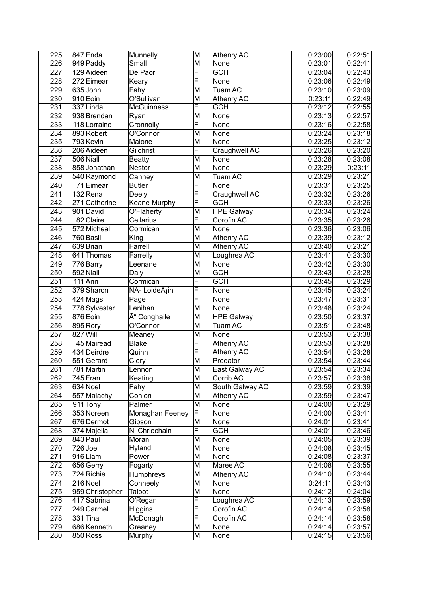| 225              | $847$ Enda      | Munnelly          | M                       | Athenry AC        | 0:23:00 | 0:22:51 |
|------------------|-----------------|-------------------|-------------------------|-------------------|---------|---------|
| 226              | 949 Paddy       | Small             | M                       | None              | 0:23:01 | 0:22:41 |
| 227              | 129 Aideen      | De Paor           | F                       | <b>GCH</b>        | 0:23:04 | 0:22:43 |
| 228              | $272$ Eimear    | Keary             | F                       | None              | 0:23:06 | 0:22:49 |
| 229              | 635John         | Fahy              | M                       | Tuam AC           | 0:23:10 | 0:23:09 |
| 230              | 910 Eoin        | O'Sullivan        | M                       | <b>Athenry AC</b> | 0:23:11 | 0:22:49 |
| 231              | $337$ Linda     | <b>McGuinness</b> | F                       | <b>GCH</b>        | 0:23:12 | 0:22:55 |
| 232              | 938 Brendan     | Ryan              | M                       | <b>None</b>       | 0:23:13 | 0:22:57 |
| 233              | 118 Lorraine    | Cronnolly         | F                       | None              | 0:23:16 | 0:22:58 |
| 234              | 893 Robert      | O'Connor          | M                       | None              | 0:23:24 | 0:23:18 |
| 235              | 793 Kevin       | Malone            | M                       | None              | 0:23:25 | 0:23:12 |
| 236              | 206 Aideen      | Gilchrist         | F                       | Craughwell AC     | 0:23:26 | 0:23:20 |
| 237              | 506 Niall       | <b>Beatty</b>     | M                       | None              | 0:23:28 | 0:23:08 |
| 238              | 858 Jonathan    | Nestor            | M                       | None              | 0:23:29 | 0:23:11 |
| 239              | 540 Raymond     | Canney            | M                       | Tuam AC           | 0:23:29 | 0:23:21 |
| 240              | $71$ Eimear     | <b>Butler</b>     | F                       | None              | 0:23:31 | 0:23:25 |
| 241              | $132$ Rena      | Deely             | F                       | Craughwell AC     | 0:23:32 | 0:23:26 |
| 242              | 271 Catherine   | Keane Murphy      | F                       | <b>GCH</b>        | 0:23:33 | 0:23:26 |
| 243              | 901 David       | O'Flaherty        | M                       | <b>HPE Galway</b> | 0:23:34 | 0:23:24 |
| 244              | 82 Claire       | Cellarius         | $\overline{\mathsf{F}}$ | Corofin AC        | 0:23:35 | 0:23:26 |
| 245              | 572 Micheal     | Cormican          | M                       | None              | 0:23:36 | 0:23:06 |
| 246              | 760 Basil       | King              | M                       | <b>Athenry AC</b> | 0:23:39 | 0:23:12 |
| 247              | 639 Brian       | Farrell           | M                       | <b>Athenry AC</b> | 0:23:40 | 0:23:21 |
| 248              | 641 Thomas      | Farrelly          | M                       | Loughrea AC       | 0:23:41 | 0:23:30 |
| 249              | 776 Barry       | Leenane           | M                       | None              | 0:23:42 | 0:23:30 |
| 250              | 592 Niall       | Daly              | M                       | <b>GCH</b>        | 0:23:43 | 0:23:28 |
| 251              | $111$ Ann       | Cormican          | F                       | <b>GCH</b>        | 0:23:45 | 0:23:29 |
| 252              | 379Sharon       | NÃ- Loideáin      | F                       | None              | 0:23:45 | 0:23:24 |
| 253              | 424 Mags        | Page              | F                       | None              | 0:23:47 | 0:23:31 |
| 254              | 778 Sylvester   | Lenihan           | M                       | None              | 0:23:48 | 0:23:24 |
| 255              | 876 Eoin        | Ó Conghaile       | M                       | <b>HPE Galway</b> | 0:23:50 | 0:23:37 |
| 256              | 895 Rory        | O'Connor          | M                       | Tuam AC           | 0:23:51 | 0:23:48 |
| 257              | 827 Will        | Meaney            | M                       | None              | 0:23:53 | 0:23:38 |
| 258              | 45 Mairead      | <b>Blake</b>      | F                       | Athenry AC        | 0:23:53 | 0:23:28 |
| 259              | 434 Deirdre     | Quinn             | F                       | <b>Athenry AC</b> | 0:23:54 | 0:23:28 |
| 260              | 551 Gerard      | Clery             | M                       | Predator          | 0:23:54 | 0:23:44 |
| $\overline{261}$ | 781 Martin      | Lennon            | $\overline{\mathsf{M}}$ | East Galway AC    | 0:23:54 | 0:23:34 |
| 262              | 745 Fran        | Keating           | M                       | Corrib AC         | 0:23:57 | 0:23:38 |
| 263              | 634 Noel        | Fahy              | M                       | South Galway AC   | 0:23:59 | 0:23:39 |
| 264              | 557 Malachy     | Conlon            | M                       | Athenry AC        | 0:23:59 | 0:23:47 |
| 265              | 911 Tony        | Palmer            | $\overline{\mathsf{M}}$ | None              | 0:24:00 | 0:23:29 |
| 266              | 353 Noreen      | Monaghan Feeney   | F                       | None              | 0:24:00 | 0:23:41 |
| 267              | 676 Dermot      | Gibson            | M                       | None              | 0:24:01 | 0:23:41 |
| 268              | 374 Majella     | Ni Chriochain     | F                       | <b>GCH</b>        | 0:24:01 | 0:23:46 |
| 269              | 843 Paul        | Moran             | M                       | None              | 0:24:05 | 0:23:39 |
| 270              | $726$ Joe       | Hyland            | M                       | None              | 0:24:08 | 0:23:45 |
| $\overline{271}$ | 916Liam         | Power             | M                       | None              | 0:24:08 | 0:23:37 |
| 272              | 656 Gerry       | Fogarty           | M                       | Maree AC          | 0:24:08 | 0:23:55 |
| 273              | 724 Richie      | Humphreys         | M                       | Athenry AC        | 0:24:10 | 0:23:44 |
| 274              | 216 Noel        | Conneely          | M                       | None              | 0:24:11 | 0:23:43 |
| 275              | 959 Christopher | Talbot            | M                       | None              | 0:24:12 | 0:24:04 |
| 276              | 417 Sabrina     | O'Regan           | $\overline{\mathsf{F}}$ | Loughrea AC       | 0:24:13 | 0:23:59 |
| 277              | 249 Carmel      | Higgins           | F                       | Corofin AC        | 0:24:14 | 0:23:58 |
| 278              | $331$ Tina      | McDonagh          | F                       | Corofin AC        | 0:24:14 | 0:23:58 |
| 279              | 686 Kenneth     | Greaney           | M                       | None              | 0:24:14 | 0:23:57 |
| 280              | 850 Ross        | Murphy            | M                       | None              | 0:24:15 | 0:23:56 |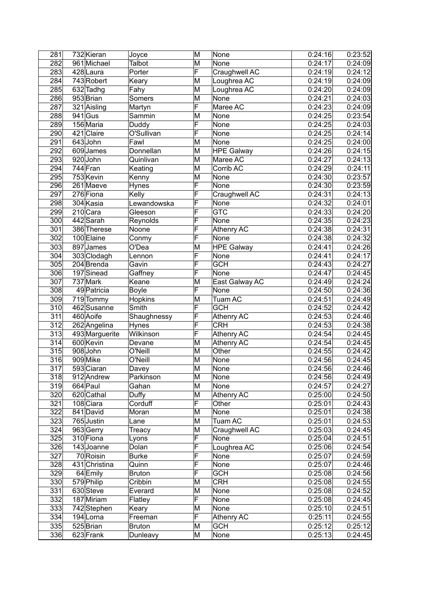| 281 | 732 Kieran     | Joyce         | M                       | None              | 0:24:16 | 0:23:52 |
|-----|----------------|---------------|-------------------------|-------------------|---------|---------|
| 282 | 961 Michael    | Talbot        | $\overline{\mathsf{M}}$ | None              | 0:24:17 | 0:24:09 |
| 283 | 428 Laura      | Porter        | F                       | Craughwell AC     | 0:24:19 | 0:24:12 |
| 284 | 743 Robert     | Keary         | M                       | Loughrea AC       | 0:24:19 | 0:24:09 |
| 285 | 632 Tadhg      | Fahy          | M                       | Loughrea AC       | 0:24:20 | 0:24:09 |
| 286 | 953 Brian      | <b>Somers</b> | M                       | None              | 0:24:21 | 0:24:03 |
| 287 | 321 Aisling    | Martyn        | $\overline{\mathsf{F}}$ | Maree AC          | 0:24:23 | 0:24:09 |
| 288 | $941$ Gus      | Sammin        | M                       | None              | 0:24:25 | 0:23:54 |
| 289 | 156 Maria      | Duddy         | F                       | None              | 0:24:25 | 0:24:03 |
| 290 | 421 Claire     | O'Sullivan    | F                       | None              | 0:24:25 | 0:24:14 |
| 291 | 643John        | Fawl          | M                       | None              | 0:24:25 | 0:24:00 |
| 292 | 609James       | Donnellan     | M                       | <b>HPE Galway</b> | 0:24:26 | 0:24:15 |
| 293 | 920John        | Quinlivan     | M                       | Maree AC          | 0:24:27 | 0:24:13 |
| 294 | 744 Fran       | Keating       | M                       | Corrib AC         | 0:24:29 | 0:24:11 |
| 295 | 753 Kevin      | Kenny         | M                       | None              | 0:24:30 | 0:23:57 |
| 296 | 261 Maeve      | Hynes         | F                       | None              | 0:24:30 | 0:23:59 |
| 297 | 276 Fiona      |               | F                       |                   |         |         |
|     |                | Kelly         | $\overline{\sf F}$      | Craughwell AC     | 0:24:31 | 0:24:13 |
| 298 | 304 Kasia      | Lewandowska   | F                       | None              | 0:24:32 | 0:24:01 |
| 299 | $210$ Cara     | Gleeson       |                         | <b>GTC</b>        | 0:24:33 | 0:24:20 |
| 300 | 442 Sarah      | Reynolds      | F                       | None              | 0:24:35 | 0:24:23 |
| 301 | 386 Therese    | Noone         | F                       | Athenry AC        | 0:24:38 | 0:24:31 |
| 302 | 100 Elaine     | Conmy         | F                       | None              | 0:24:38 | 0:24:32 |
| 303 | 897 James      | O'Dea         | M                       | <b>HPE Galway</b> | 0:24:41 | 0:24:26 |
| 304 | 303 Clodagh    | Lennon        | F                       | None              | 0:24:41 | 0:24:17 |
| 305 | 204 Brenda     | Gavin         | F                       | <b>GCH</b>        | 0:24:43 | 0:24:27 |
| 306 | 197 Sinead     | Gaffney       | F                       | None              | 0:24:47 | 0:24:45 |
| 307 | 737 Mark       | Keane         | M                       | East Galway AC    | 0:24:49 | 0:24:24 |
| 308 | 49 Patricia    | Boyle         | F                       | None              | 0:24:50 | 0:24:36 |
| 309 | 719 Tommy      | Hopkins       | M                       | Tuam AC           | 0:24:51 | 0:24:49 |
| 310 | 462 Susanne    | Smith         | F                       | <b>GCH</b>        | 0:24:52 | 0:24:42 |
| 311 | 460 Aoife      | Shaughnessy   | F                       | Athenry AC        | 0:24:53 | 0:24:46 |
| 312 | 262 Angelina   | Hynes         | F                       | <b>CRH</b>        | 0:24:53 | 0:24:38 |
| 313 | 493 Marguerite | Wilkinson     | F                       | <b>Athenry AC</b> | 0:24:54 | 0:24:45 |
| 314 | 600 Kevin      | Devane        | M                       | <b>Athenry AC</b> | 0:24:54 | 0:24:45 |
| 315 | 908John        | O'Neill       | M                       | Other             | 0:24:55 | 0:24:42 |
| 316 | 909Mike        | O'Neill       | M                       | <b>None</b>       | 0:24:56 | 0:24:45 |
| 317 | 593 Ciaran     | Davey         | $\overline{\mathsf{M}}$ | None              | 0:24:56 | 0:24:46 |
| 318 | 912 Andrew     | Parkinson     | M                       | None              | 0:24:56 | 0:24:49 |
| 319 | 664 Paul       | Gahan         | M                       | None              | 0:24:57 | 0:24:27 |
| 320 | 620 Cathal     | Duffy         | M                       | <b>Athenry AC</b> | 0:25:00 | 0:24:50 |
| 321 | 108 Ciara      | Corduff       | F                       | Other             | 0:25:01 | 0:24:43 |
| 322 | 841 David      | Moran         | M                       | None              | 0:25:01 | 0:24:38 |
| 323 | 765 Justin     | Lane          | M                       | Tuam AC           | 0:25:01 | 0:24:53 |
| 324 | 963Gerry       | Treacy        | M                       | Craughwell AC     | 0:25:03 | 0:24:45 |
| 325 | 310 Fiona      | Lyons         | F                       | None              | 0:25:04 | 0:24:51 |
| 326 | 143Joanne      | Dolan         | F                       | Loughrea AC       | 0:25:06 | 0:24:54 |
| 327 | 70 Roisin      | <b>Burke</b>  | F                       | None              | 0:25:07 | 0:24:59 |
| 328 | 431 Christina  | Quinn         | F                       | None              | 0:25:07 | 0:24:46 |
| 329 | 64 Emily       | <b>Bruton</b> | F                       | <b>GCH</b>        | 0:25:08 | 0:24:56 |
| 330 | 579 Philip     | Cribbin       | M                       | <b>CRH</b>        | 0:25:08 | 0:24:55 |
| 331 | 630 Steve      | Everard       | M                       | None              | 0:25:08 | 0:24:52 |
| 332 | 187 Miriam     | Flatley       | F                       | None              | 0:25:08 | 0:24:45 |
| 333 | 742 Stephen    | Keary         | M                       | None              | 0:25:10 | 0:24:51 |
| 334 | 194Lorna       | Freeman       | F                       | Athenry AC        | 0:25:11 | 0:24:55 |
| 335 | 525 Brian      | Bruton        | M                       | <b>GCH</b>        | 0:25:12 | 0:25:12 |
| 336 | 623 Frank      | Dunleavy      | M                       | None              | 0:25:13 | 0:24:45 |
|     |                |               |                         |                   |         |         |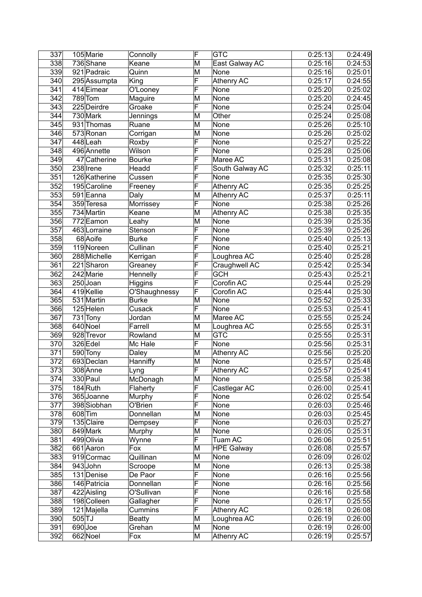| 337              | 105 Marie     | Connolly      | F                       | <b>GTC</b>        | 0:25:13 | 0:24:49 |
|------------------|---------------|---------------|-------------------------|-------------------|---------|---------|
| 338              | 736 Shane     | Keane         | M                       | East Galway AC    | 0:25:16 | 0:24:53 |
| 339              | 921 Padraic   | Quinn         | M                       | None              | 0:25:16 | 0:25:01 |
| 340              | 295 Assumpta  | King          | F                       | <b>Athenry AC</b> | 0:25:17 | 0:24:55 |
| 341              | 414 Eimear    | O'Looney      | F                       | None              | 0:25:20 | 0:25:02 |
| 342              | $789$ Tom     | Maguire       | M                       | None              | 0:25:20 | 0:24:45 |
| 343              | 225 Deirdre   | Groake        | $\overline{\mathsf{F}}$ | None              | 0:25:24 | 0:25:04 |
| 344              | 730 Mark      | Jennings      | M                       | Other             | 0:25:24 | 0:25:08 |
| 345              | 931 Thomas    | Ruane         | M                       | None              | 0:25:26 | 0:25:10 |
| 346              | 573 Ronan     | Corrigan      | M                       | None              | 0:25:26 | 0:25:02 |
| 347              | 448 Leah      | Roxby         | F                       | None              | 0:25:27 | 0:25:22 |
| 348              | 496 Annette   | Wilson        | F                       | None              | 0:25:28 | 0:25:06 |
| 349              | 47 Catherine  | <b>Bourke</b> | F                       | Maree AC          | 0:25:31 | 0:25:08 |
| 350              | 238 Irene     | Headd         | F                       | South Galway AC   | 0:25:32 | 0:25:11 |
| 351              | 126 Katherine | Cussen        | F                       | None              | 0:25:35 | 0:25:30 |
| 352              | 195 Caroline  | Freeney       | F                       | <b>Athenry AC</b> | 0:25:35 | 0:25:25 |
| 353              | 591 Eanna     | Daly          | M                       | <b>Athenry AC</b> | 0:25:37 | 0:25:11 |
| 354              | 359 Teresa    | Morrissey     | $\overline{\mathsf{F}}$ | None              | 0:25:38 | 0:25:26 |
| 355              | 734 Martin    | Keane         | M                       | Athenry AC        | 0:25:38 | 0:25:35 |
| 356              | 772 Eamon     | Leahy         | M                       | None              | 0:25:39 | 0:25:35 |
| 357              | 463 Lorraine  | Stenson       | F                       | None              | 0:25:39 | 0:25:26 |
| 358              | 68 Aoife      | <b>Burke</b>  | F                       | None              | 0:25:40 | 0:25:13 |
| 359              | 119 Noreen    | Cullinan      | F                       | None              | 0:25:40 | 0:25:21 |
| 360              | 288 Michelle  | Kerrigan      | F                       | Loughrea AC       | 0:25:40 | 0:25:28 |
| 361              | $221$ Sharon  | Greaney       | F                       | Craughwell AC     | 0:25:42 | 0:25:34 |
| 362              | 242 Marie     | Hennelly      | F                       | <b>GCH</b>        | 0:25:43 | 0:25:21 |
| 363              | $250$ Joan    | Higgins       | F                       | Corofin AC        | 0:25:44 | 0:25:29 |
| 364              | 419 Kellie    | O'Shaughnessy | F                       | Corofin AC        | 0:25:44 | 0:25:30 |
| 365              | 531 Martin    | <b>Burke</b>  | M                       | None              | 0:25:52 | 0:25:33 |
| 366              | $125$ Helen   | Cusack        | F                       | None              | 0:25:53 | 0:25:41 |
| 367              | 731 Tony      | Jordan        | M                       | Maree AC          | 0:25:55 | 0:25:24 |
| 368              | 640 Noel      | Farrell       | M                       | Loughrea AC       | 0:25:55 | 0:25:31 |
| 369              | 928 Trevor    | Rowland       | M                       | <b>GTC</b>        | 0:25:55 | 0:25:31 |
| 370              | 326 Edel      | Mc Hale       | F                       | None              | 0:25:56 | 0:25:31 |
| 371              | 590 Tony      | Daley         | M                       | <b>Athenry AC</b> | 0:25:56 | 0:25:20 |
| $\overline{372}$ | 693 Declan    | Hanniffy      | M                       | None              | 0:25:57 | 0:25:48 |
| $\overline{373}$ | 308 Anne      | Lyng          | $\overline{\mathsf{F}}$ | <b>Athenry AC</b> | 0:25:57 | 0:25:41 |
| 374              | 330 Paul      | McDonagh      | M                       | None              | 0:25:58 | 0:25:38 |
| 375              | 184 Ruth      | Flaherty      | F                       | Castlegar AC      | 0:26:00 | 0:25:41 |
| 376              | 365 Joanne    | Murphy        | F                       | None              | 0:26:02 | 0:25:54 |
| 377              | 398 Siobhan   | O'Brien       | $\overline{\mathsf{F}}$ | None              | 0:26:03 | 0:25:46 |
| 378              | 608 Tim       | Donnellan     | M                       | None              | 0:26:03 | 0:25:45 |
| 379              | 135 Claire    | Dempsey       | F                       | None              | 0:26:03 | 0:25:27 |
| 380              | 849 Mark      | Murphy        | M                       | None              | 0:26:05 | 0:25:31 |
| 381              | 499 Olivia    | Wynne         | F                       | Tuam AC           | 0:26:06 | 0:25:51 |
| 382              | 661 Aaron     | Fox           | M                       | <b>HPE Galway</b> | 0:26:08 | 0:25:57 |
| 383              | 919 Cormac    | Quillinan     | M                       | None              | 0:26:09 | 0:26:02 |
| 384              | 943John       | Scroope       | M                       | None              | 0:26:13 | 0:25:38 |
| 385              | 131 Denise    | De Paor       | F                       | None              | 0:26:16 | 0:25:56 |
| 386              | 146 Patricia  | Donnellan     | F                       | None              | 0:26:16 | 0:25:56 |
| 387              | 422 Aisling   | O'Sullivan    | $\overline{\mathsf{F}}$ | None              | 0:26:16 | 0:25:58 |
| 388              | 198 Colleen   | Gallagher     | F                       | None              | 0:26:17 | 0:25:55 |
| 389              | 121 Majella   | Cummins       | F                       | Athenry AC        | 0:26:18 | 0:26:08 |
| 390              | $505$ TJ      | <b>Beatty</b> | M                       | Loughrea AC       | 0:26:19 | 0:26:00 |
| 391              | 690Joe        | Grehan        | M                       | None              | 0:26:19 | 0:26:00 |
| 392              | 662 Noel      | Fox           | M                       | Athenry AC        | 0:26:19 | 0:25:57 |
|                  |               |               |                         |                   |         |         |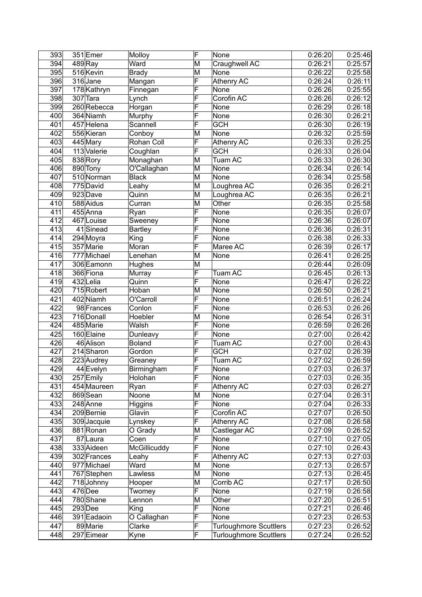| 393 | 351 Emer               | Molloy         | F                       | None                          | 0:26:20 | 0:25:46              |
|-----|------------------------|----------------|-------------------------|-------------------------------|---------|----------------------|
| 394 | $489$ Ray              | Ward           | M                       | Craughwell AC                 | 0:26:21 | $\overline{0:}25:57$ |
| 395 | 516 Kevin              | <b>Brady</b>   | M                       | None                          | 0:26:22 | 0:25:58              |
| 396 | 316 Jane               | Mangan         | F                       | <b>Athenry AC</b>             | 0:26:24 | 0:26:11              |
| 397 | 178 Kathryn            | Finnegan       | F                       | None                          | 0:26:26 | 0:25:55              |
| 398 | $307$ Tara             | Lynch          | F                       | Corofin AC                    | 0:26:26 | 0:26:12              |
| 399 | 260 Rebecca            | Horgan         | F                       | None                          | 0:26:29 | 0:26:18              |
| 400 | 364 Niamh              | Murphy         | F                       | None                          | 0:26:30 | 0:26:21              |
| 401 | 457 Helena             | Scannell       | F                       | <b>GCH</b>                    | 0:26:30 | 0:26:19              |
| 402 | 556 Kieran             | Conboy         | M                       | None                          | 0:26:32 | 0:25:59              |
| 403 | 445 Mary               | Rohan Coll     | F                       | Athenry AC                    | 0:26:33 | 0:26:25              |
| 404 | 113 Valerie            | Coughlan       | F                       | <b>GCH</b>                    | 0:26:33 | 0:26:04              |
| 405 | 838 Rory               | Monaghan       | M                       | Tuam AC                       | 0:26:33 | 0:26:30              |
| 406 | 890 Tony               | O'Callaghan    | M                       | None                          | 0:26:34 | 0:26:14              |
| 407 | 510 Norman             | <b>Black</b>   | M                       | None                          | 0:26:34 | 0:25:58              |
| 408 | 775 David              | Leahy          | M                       | Loughrea AC                   | 0:26:35 | 0:26:21              |
| 409 | 923Dave                | Quinn          | M                       | Loughrea AC                   | 0:26:35 | 0:26:21              |
| 410 | 588 Aidus              | Curran         | M                       | Other                         | 0:26:35 | 0:25:58              |
| 411 | 455 Anna               | Ryan           | $\overline{\mathsf{F}}$ | <b>None</b>                   | 0:26:35 | 0:26:07              |
| 412 | 467 Louise             | Sweeney        | F                       | None                          | 0:26:36 | 0:26:07              |
| 413 | $\overline{41}$ Sinead | <b>Bartley</b> | F                       | None                          | 0:26:36 | 0:26:31              |
| 414 | 294 Moyra              | King           | F                       | None                          | 0:26:38 | 0:26:33              |
| 415 | 357 Marie              | Moran          | F                       | Maree AC                      | 0:26:39 | 0:26:17              |
| 416 | 777 Michael            | Lenehan        | M                       | None                          | 0:26:41 | 0:26:25              |
| 417 | 306 Eamonn             | Hughes         | M                       |                               | 0:26:44 | 0:26:09              |
| 418 | 366 Fiona              | Murray         | F                       | Tuam AC                       | 0:26:45 | 0:26:13              |
| 419 | 432 Lelia              | Quinn          | F                       | None                          | 0:26:47 | 0:26:22              |
| 420 | 715 Robert             | Hoban          | M                       | None                          | 0:26:50 | 0:26:21              |
| 421 | 402 Niamh              | O'Carroll      | F                       | None                          | 0:26:51 | 0:26:24              |
| 422 | 98 Frances             | Conlon         | F                       | None                          | 0:26:53 | 0:26:26              |
| 423 | 716 Donall             | Hoebler        | M                       | None                          | 0:26:54 | 0:26:31              |
| 424 | 485 Marie              | Walsh          | F                       | None                          | 0:26:59 | 0:26:26              |
| 425 | 160 Elaine             | Dunleavy       | F                       | None                          | 0:27:00 | 0:26:42              |
| 426 | 46 Alison              | <b>Boland</b>  | F                       | Tuam AC                       | 0:27:00 | 0:26:43              |
| 427 | 214 Sharon             | Gordon         | F                       | <b>GCH</b>                    | 0:27:02 | 0:26:39              |
| 428 | 223 Audrey             | Greaney        | $\overline{\mathsf{F}}$ | Tuam AC                       | 0:27:02 | 0:26:59              |
| 429 | 44 Evelyn              | Birmingham     | F                       | None                          | 0:27:03 | 0:26:37              |
| 430 | 257 Emily              | Holohan        | F                       | None                          | 0:27:03 | 0:26:35              |
| 431 | 454 Maureen            | Ryan           | F                       | <b>Athenry AC</b>             | 0:27:03 | 0:26:27              |
| 432 | 869 Sean               | Noone          | M                       | None                          | 0:27:04 | 0:26:31              |
| 433 | 248 Anne               | <b>Higgins</b> | F                       | None                          | 0:27:04 | 0:26:33              |
| 434 | 209 Bernie             | Glavin         | F                       | Corofin AC                    | 0:27:07 | 0:26:50              |
| 435 | 309 Jacquie            | Lynskey        | F                       | Athenry AC                    | 0:27:08 | 0:26:58              |
| 436 | 881 Ronan              | O Grady        | M                       | Castlegar AC                  | 0:27:09 | 0:26:52              |
| 437 | 87Laura                | Coen           | $\overline{F}$          | None                          | 0:27:10 | 0:27:05              |
| 438 | 333 Aideen             | McGillicuddy   | F                       | None                          | 0:27:10 | 0:26:43              |
| 439 | 302 Frances            | Leahy          | F                       | Athenry AC                    | 0:27:13 | 0:27:03              |
| 440 | 977 Michael            | Ward           | M                       | None                          | 0:27:13 | 0:26:57              |
| 441 | 767 Stephen            | Lawless        | M                       | None                          | 0:27:13 | 0:26:45              |
| 442 | 718Johnny              | Hooper         | M                       | Corrib AC                     | 0:27:17 | 0:26:50              |
| 443 | $476$ Dee              | Twomey         | F                       | None                          | 0:27:19 | 0:26:58              |
| 444 | 780 Shane              | Lennon         | M                       | Other                         | 0:27:20 | 0:26:51              |
| 445 | $293$ Dee              | King           | F                       | None                          | 0:27:21 | 0:26:46              |
| 446 | 391 Eadaoin            | O Callaghan    | F                       | None                          | 0:27:23 | 0:26:53              |
| 447 | 89 Marie               | Clarke         | $\overline{\mathsf{F}}$ | <b>Turloughmore Scuttlers</b> | 0:27:23 | 0:26:52              |
| 448 | 297 Eimear             | Kyne           | $\overline{\mathsf{F}}$ | <b>Turloughmore Scuttlers</b> | 0:27:24 | 0:26:52              |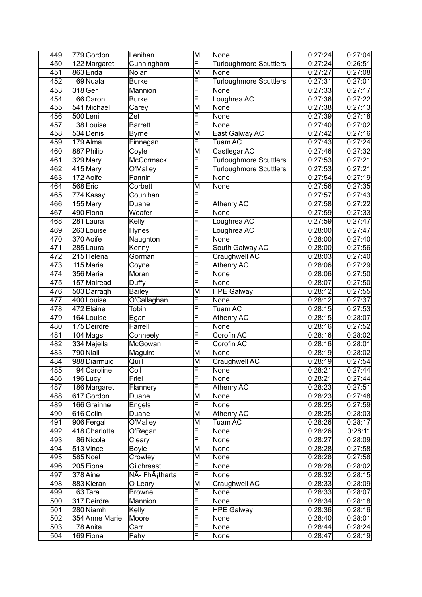| 449 | 779 Gordon     | Lenihan                     | M                       | None                          | 0:27:24 | 0:27:04               |
|-----|----------------|-----------------------------|-------------------------|-------------------------------|---------|-----------------------|
| 450 | 122 Margaret   | Cunningham                  | F                       | <b>Turloughmore Scuttlers</b> | 0:27:24 | 0:26:51               |
| 451 | 863 Enda       | Nolan                       | M                       | None                          | 0:27:27 | 0:27:08               |
| 452 | 69 Nuala       | <b>Burke</b>                | F                       | <b>Turloughmore Scuttlers</b> | 0:27:31 | 0:27:01               |
| 453 | 318 Ger        | Mannion                     | F                       | None                          | 0:27:33 | 0:27:17               |
| 454 | 66 Caron       | <b>Burke</b>                | F                       | Loughrea AC                   | 0:27:36 | 0:27:22               |
| 455 | 541 Michael    | Carey                       | M                       | None                          | 0:27:38 | 0:27:13               |
| 456 | 500Leni        | Zet                         | F                       | None                          | 0:27:39 | 0:27:18               |
| 457 | 38 Louise      | <b>Barrett</b>              | F                       | None                          | 0:27:40 | 0:27:02               |
| 458 | 534 Denis      | <b>Byrne</b>                | M                       | East Galway AC                | 0:27:42 | 0:27:16               |
| 459 | 179 Alma       | Finnegan                    | F                       | Tuam AC                       | 0:27:43 | 0:27:24               |
| 460 | 887 Philip     | Coyle                       | M                       | Castlegar AC                  | 0:27:46 | 0:27:32               |
| 461 | 329 Mary       | <b>McCormack</b>            | F                       | <b>Turloughmore Scuttlers</b> | 0:27:53 | 0:27:21               |
| 462 | 415 Mary       | O'Malley                    | F                       | <b>Turloughmore Scuttlers</b> | 0:27:53 | 0:27:21               |
| 463 | 172 Aoife      | Fannin                      | F                       | None                          | 0:27:54 | 0:27:19               |
| 464 | 568 Eric       | Corbett                     | M                       | None                          | 0:27:56 | 0:27:35               |
| 465 | 774 Kassy      | Counihan                    | F                       |                               | 0:27:57 | 0:27:43               |
| 466 | 155 Mary       | Duane                       | F                       | <b>Athenry AC</b>             | 0:27:58 | 0:27:22               |
| 467 | 490 Fiona      | Weafer                      | F                       | None                          | 0:27:59 | 0:27:33               |
| 468 | 281 Laura      | Kelly                       | F                       | Loughrea AC                   | 0:27:59 | 0:27:47               |
| 469 | 263 Louise     | Hynes                       | F                       | Loughrea AC                   | 0:28:00 | 0:27:47               |
| 470 | 370 Aoife      | Naughton                    | F                       | None                          | 0:28:00 | 0:27:40               |
| 471 | 285 Laura      | Kenny                       | F                       | South Galway AC               | 0:28:00 | 0:27:56               |
| 472 | 215 Helena     | Gorman                      | F                       | Craughwell AC                 | 0:28:03 | 0:27:40               |
| 473 | 115 Marie      | Coyne                       | F                       | <b>Athenry AC</b>             | 0:28:06 | 0:27:29               |
| 474 | 356 Maria      | Moran                       | F                       | None                          | 0:28:06 | 0:27:50               |
| 475 | 157 Mairead    | Duffy                       | F                       | None                          | 0:28:07 | 0:27:50               |
| 476 | 503 Darragh    | <b>Bailey</b>               | M                       | <b>HPE Galway</b>             | 0:28:12 | 0:27:55               |
| 477 | 400 Louise     | O'Callaghan                 | F                       | None                          | 0:28:12 | 0:27:37               |
| 478 | 472 Elaine     | Tobin                       | F                       | Tuam AC                       | 0:28:15 | 0:27:53               |
| 479 | 164 Louise     | Egan                        | F                       | <b>Athenry AC</b>             | 0:28:15 | 0:28:07               |
| 480 | 175 Deirdre    | Farrell                     | F                       | None                          | 0:28:16 | 0:27:52               |
| 481 | $104$ Mags     | Conneely                    | F                       | Corofin AC                    | 0:28:16 | 0:28:02               |
| 482 | 334 Majella    | McGowan                     | F                       | Corofin AC                    | 0:28:16 | 0:28:01               |
| 483 | 790 Niall      | Maguire                     | M                       | None                          | 0:28:19 | 0:28:02               |
| 484 | 988 Diarmuid   | Quill                       | M                       | Craughwell AC                 | 0:28:19 | 0:27:54               |
| 485 | 94 Caroline    | Coll                        | $\overline{\mathsf{F}}$ | None                          | 0:28:21 | 0:27:44               |
| 486 | 196Lucy        | Friel                       | F                       | None                          | 0:28:21 | 0:27:44               |
| 487 | 186 Margaret   | Flannery                    | F                       | Athenry AC                    | 0:28:23 | 0:27:51               |
| 488 | 617 Gordon     | Duane                       | M                       | None                          | 0:28:23 | 0:27:48               |
| 489 | 166 Grainne    | Engels                      | F                       | None                          | 0:28:25 | 0:27:59               |
| 490 | 616 Colin      | Duane                       | M                       | Athenry AC                    | 0:28:25 | 0:28:03               |
| 491 | 906 Fergal     | O'Malley                    | M                       | Tuam AC                       | 0:28:26 | 0:28:17               |
| 492 | 418 Charlotte  | O'Regan                     | F                       | None                          | 0:28:26 | 0:28:11               |
| 493 | 86 Nicola      | Cleary                      | F                       | None                          | 0:28:27 | 0:28:09               |
| 494 | 513 Vince      | Boyle                       | M                       | None                          | 0:28:28 | 0:27:58               |
| 495 | 585 Noel       | Crowley                     | M                       | None                          | 0:28:28 | 0:27:58               |
| 496 | 205 Fiona      | Gilchreest                  | F                       | None                          | 0:28:28 | 0:28:02               |
| 497 | 378 Aine       | NÃ- FhÂ <sub>i</sub> tharta | F                       | None                          | 0:28:32 | 0:28:15               |
| 498 | 883 Kieran     | O Leary                     | M                       | Craughwell AC                 | 0:28:33 | 0:28:09               |
| 499 | 63 Tara        | <b>Browne</b>               | F                       | None                          | 0:28:33 | 0:28:07               |
| 500 | 317 Deirdre    | Mannion                     | F                       | None                          | 0:28:34 | $\overline{0}$ :28:18 |
| 501 | 280 Niamh      | Kelly                       | F                       | <b>HPE Galway</b>             | 0:28:36 | 0:28:16               |
| 502 | 354 Anne Marie | Moore                       | F                       | None                          | 0:28:40 | 0:28:01               |
| 503 | 78 Anita       | Carr                        | F                       | None                          | 0:28:44 | 0:28:24               |
| 504 | 169 Fiona      | Fahy                        | F                       | None                          | 0:28:47 | 0:28:19               |
|     |                |                             |                         |                               |         |                       |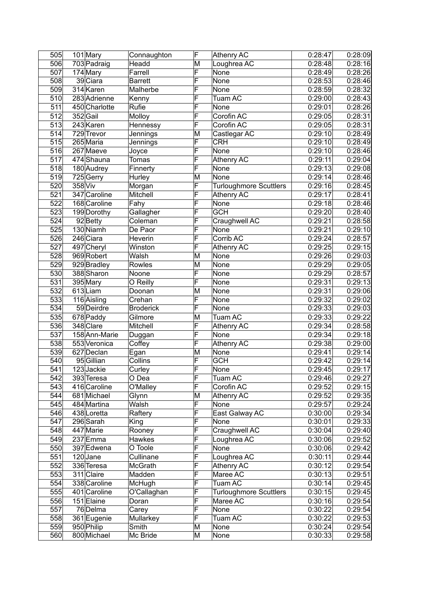| 505              |         | 101 Mary               | Connaughton          | F                       | Athenry AC                    | 0:28:47 | 0:28:09 |
|------------------|---------|------------------------|----------------------|-------------------------|-------------------------------|---------|---------|
| 506              |         | 703 Padraig            | Headd                | M                       | Loughrea AC                   | 0:28:48 | 0:28:16 |
| 507              |         | 174 Mary               | Farrell              | F                       | None                          | 0:28:49 | 0:28:26 |
| 508              |         | 39 Ciara               | <b>Barrett</b>       | F                       | None                          | 0:28:53 | 0:28:46 |
| 509              |         | 314 Karen              | Malherbe             | F                       | None                          | 0:28:59 | 0:28:32 |
| 510              |         | 283 Adrienne           | Kenny                | F                       | Tuam AC                       | 0:29:00 | 0:28:43 |
| $\overline{511}$ |         | 450 Charlotte          | Rufie                | F                       | None                          | 0:29:01 | 0:28:26 |
| 512              |         | 352 Gail               | Molloy               | F                       | Corofin AC                    | 0:29:05 | 0:28:31 |
| 513              |         | 243 Karen              | Hennessy             | F                       | Corofin AC                    | 0:29:05 | 0:28:31 |
| 514              |         | 729 Trevor             | Jennings             | M                       | Castlegar AC                  | 0:29:10 | 0:28:49 |
| 515              |         | 265 Maria              | Jennings             | F                       | <b>CRH</b>                    | 0:29:10 | 0:28:49 |
| 516              |         | 267 Maeve              | Joyce                | F                       | <b>None</b>                   | 0:29:10 | 0:28:46 |
| 517              |         | 474 Shauna             | <b>Tomas</b>         | F                       | <b>Athenry AC</b>             | 0:29:11 | 0:29:04 |
| 518              |         | 180 Audrey             | Finnerty             | F                       | None                          | 0:29:13 | 0:29:08 |
| 519              |         | 725 Gerry              | Hurley               | M                       | None                          | 0:29:14 | 0:28:46 |
| 520              | 358 Viv |                        | Morgan               | F                       | <b>Turloughmore Scuttlers</b> | 0:29:16 | 0:28:45 |
| 521              |         | 347 Caroline           | Mitchell             | F                       | Athenry AC                    | 0:29:17 | 0:28:41 |
| 522              |         | 168 Caroline           | Fahy                 | $\overline{\sf F}$      | None                          | 0:29:18 | 0:28:46 |
| $\overline{523}$ |         | 199 Dorothy            | Gallagher            | F                       | $\overline{\text{GCH}}$       | 0:29:20 | 0:28:40 |
| 524              |         | $\overline{9}$ 2 Betty | Coleman              | F                       | Craughwell AC                 | 0:29:21 | 0:28:58 |
| 525              |         | 130 Niamh              | De Paor              | F                       | None                          | 0:29:21 | 0:29:10 |
| 526              |         | 246 Ciara              | Heverin              | F                       | Corrib AC                     | 0:29:24 | 0:28:57 |
| 527              |         | 497 Cheryl             | Winston              | F                       | Athenry AC                    | 0:29:25 | 0:29:15 |
| 528              |         | 969 Robert             | Walsh                | M                       | None                          | 0:29:26 | 0:29:03 |
| 529              |         | 929 Bradley            | Rowles               | M                       | None                          | 0:29:29 | 0:29:05 |
| 530              |         | 388 Sharon             | Noone                | F                       | None                          | 0:29:29 | 0:28:57 |
| 531              |         | 395 Mary               | O Reilly             | F                       | None                          | 0:29:31 | 0:29:13 |
| 532              |         | 613Liam                | Doonan               | M                       | None                          | 0:29:31 | 0:29:06 |
| 533              |         | 116 Aisling            | $\overline{C}$ rehan | F                       | None                          | 0:29:32 | 0:29:02 |
| 534              |         | 59 Deirdre             | <b>Broderick</b>     | F                       | None                          | 0:29:33 | 0:29:03 |
| 535              |         | 678 Paddy              | Gilmore              | M                       | Tuam AC                       | 0:29:33 | 0:29:22 |
| 536              |         | 348 Clare              | Mitchell             | F                       | Athenry AC                    | 0:29:34 | 0:28:58 |
| 537              |         | 158 Ann-Marie          | Duggan               | F                       | None                          | 0:29:34 | 0:29:18 |
| 538              |         | 553 Veronica           | Coffey               | F                       | <b>Athenry AC</b>             | 0:29:38 | 0:29:00 |
| 539              |         | 627 Declan             | Egan                 | $\overline{\mathsf{M}}$ | None                          | 0:29:41 | 0:29:14 |
| 540              |         | 95 Gillian             | Collins              | $\overline{\mathsf{F}}$ | <b>GCH</b>                    | 0:29:42 | 0:29:14 |
| $\overline{541}$ |         | 123 Jackie             | Curley               | $\overline{\mathsf{F}}$ | None                          | 0:29:45 | 0:29:17 |
| 542              |         | 393 Teresa             | O Dea                | F                       | Tuam AC                       | 0:29:46 | 0:29:27 |
| 543              |         | 416 Caroline           | O'Malley             | F                       | Corofin AC                    | 0:29:52 | 0:29:15 |
| 544              |         | 681 Michael            | Glynn                | M                       | Athenry AC                    | 0:29:52 | 0:29:35 |
| 545              |         | 484 Martina            | Walsh                | F                       | None                          | 0:29:57 | 0:29:24 |
| 546              |         | 438 Loretta            | Raftery              | F                       | East Galway AC                | 0:30:00 | 0:29:34 |
| 547              |         | 296 Sarah              | King                 | F                       | None                          | 0:30:01 | 0:29:33 |
| 548              |         | 447 Marie              | Rooney               | F                       | Craughwell $AC$               | 0:30:04 | 0:29:40 |
| 549              |         | 237 Emma               | Hawkes               | F                       | Loughrea AC                   | 0:30:06 | 0:29:52 |
| 550              |         | 397 Edwena             | O Toole              | F                       | None                          | 0:30:06 | 0:29:42 |
| 551              |         | $120$ Jane             | Cullinane            | F                       | Loughrea AC                   | 0:30:11 | 0:29:44 |
| 552              |         | 336 Teresa             | McGrath              | F                       | Athenry AC                    | 0:30:12 | 0:29:54 |
| 553              |         | 311 Claire             | Madden               | F                       | Maree AC                      | 0:30:13 | 0:29:51 |
| 554              |         | 338 Caroline           |                      | F                       | Tuam AC                       | 0:30:14 | 0:29:45 |
|                  |         |                        | McHugh               | F                       |                               |         |         |
| 555              |         | 401 Caroline           | O'Callaghan          | $\overline{\mathsf{F}}$ | Turloughmore Scuttlers        | 0:30:15 | 0:29:45 |
| 556              |         | 151 Elaine             | Doran                | F                       | Maree AC                      | 0:30:16 | 0:29:54 |
| $\overline{557}$ |         | 76 Delma               | Carey                | F                       | None                          | 0:30:22 | 0:29:54 |
| 558              |         | 361 Eugenie            | Mullarkey            |                         | Tuam AC                       | 0:30:22 | 0:29:53 |
| 559              |         | 950 Philip             | Smith                | M                       | None                          | 0:30:24 | 0:29:54 |
| 560              |         | 800 Michael            | Mc Bride             | M                       | None                          | 0:30:33 | 0:29:58 |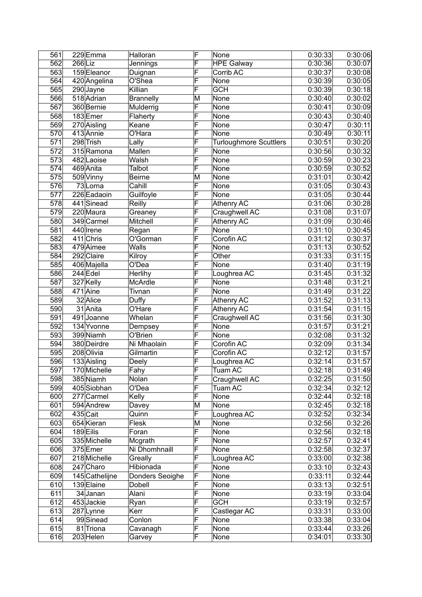| 561              |         | 229Emma        | Halloran            | F                       | None                          | 0:30:33              | 0:30:06 |
|------------------|---------|----------------|---------------------|-------------------------|-------------------------------|----------------------|---------|
| 562              | 266 Liz |                | Jennings            | F                       | <b>HPE Galway</b>             | 0:30:36              | 0:30:07 |
| 563              |         | 159 Eleanor    | Duignan             | F                       | Corrib AC                     | 0:30:37              | 0:30:08 |
| 564              |         | 420 Angelina   | O'Shea              | F                       | None                          | 0:30:39              | 0:30:05 |
| 565              |         | 290 Jayne      | Killian             | F                       | <b>GCH</b>                    | 0:30:39              | 0:30:18 |
| 566              |         | 518 Adrian     | <b>Brannelly</b>    | M                       | None                          | 0:30:40              | 0:30:02 |
| $\overline{567}$ |         | 360 Bernie     | Mulderrig           | F                       | None                          | 0:30:41              | 0:30:09 |
| 568              |         | 183Emer        | Flaherty            | F                       | None                          | 0:30:43              | 0:30:40 |
| 569              |         | 270 Aisling    | Keane               | F                       | None                          | 0:30:47              | 0:30:11 |
| 570              |         | 413 Annie      | O'Hara              | F                       | None                          | 0:30:49              | 0:30:11 |
| 571              |         | 298 Trish      | Lally               | F                       | <b>Turloughmore Scuttlers</b> | 0:30:51              | 0:30:20 |
| 572              |         | 315 Ramona     | Mallen              | F                       | None                          | 0:30:56              | 0:30:32 |
| 573              |         | 482 Laoise     | Walsh               | F                       | None                          | 0:30:59              | 0:30:23 |
| 574              |         | 469 Anita      | Talbot              | F                       | None                          | 0:30:59              | 0:30:52 |
| 575              |         | 509 Vinny      | <b>Beirne</b>       | M                       | None                          | 0:31:01              | 0:30:42 |
| 576              |         | 73 Lorna       | Cahill              | F                       | None                          | 0:31:05              | 0:30:43 |
| 577              |         | 226 Eadaoin    | Guilfoyle           | F                       | None                          | 0:31:05              | 0:30:44 |
| 578              |         | 441 Sinead     | Reilly              | F                       | <b>Athenry AC</b>             | 0:31:06              | 0:30:28 |
| 579              |         | 220 Maura      |                     | F                       | Craughwell AC                 | 0:31:08              | 0:31:07 |
| 580              |         | 349 Carmel     | Greaney<br>Mitchell | F                       |                               | 0:31:09              |         |
|                  |         |                |                     | F                       | <b>Athenry AC</b>             |                      | 0:30:46 |
| 581              |         | 440 Irene      | Regan               |                         | None                          | 0:31:10              | 0:30:45 |
| 582              |         | $411$ Chris    | O'Gorman            | F<br>F                  | Corofin AC                    | 0:31:12              | 0:30:37 |
| 583              |         | 479 Aimee      | <b>Walls</b>        | F                       | None                          | 0:31:13              | 0:30:52 |
| 584              |         | 292 Claire     | Kilroy              |                         | Other                         | 0:31:33              | 0:31:15 |
| 585              |         | 406 Majella    | O'Dea               | F                       | None                          | 0:31:40              | 0:31:19 |
| 586              |         | $244$ Edel     | Herlihy             | F                       | Loughrea AC                   | 0:31:45              | 0:31:32 |
| 587              |         | 327 Kelly      | McArdle             | F                       | None                          | 0:31:48              | 0:31:21 |
| 588              |         | $471$ Aine     | Tivnan              | F                       | None                          | 0:31:49              | 0:31:22 |
| 589              |         | 32 Alice       | Duffy               | F                       | <b>Athenry AC</b>             | 0:31:52              | 0:31:13 |
| 590              |         | 31 Anita       | O'Hare              | F                       | <b>Athenry AC</b>             | 0:31:54              | 0:31:15 |
| 591              |         | 491 Joanne     | Whelan              | F                       | Craughwell AC                 | 0:31:56              | 0:31:30 |
| 592              |         | 134 Yvonne     | Dempsey             | F                       | None                          | 0:31:57              | 0:31:21 |
| 593              |         | 399 Niamh      | O'Brien             | F                       | None                          | 0:32:08              | 0:31:32 |
| 594              |         | 380 Deirdre    | Ni Mhaolain         | F                       | Corofin AC                    | 0:32:09              | 0:31:34 |
| 595              |         | 208 Olivia     | Gilmartin           | F                       | Corofin AC                    | 0:32:12              | 0:31:57 |
| 596              |         | 133 Aisling    | Deely               | F                       | Loughrea AC                   | 0:32:14              | 0:31:57 |
| 597              |         | 170 Michelle   | Fahy                | F                       | Tuam AC                       | 0:32:18              | 0:31:49 |
| 598              |         | 385 Niamh      | Nolan               | F                       | Craughwell AC                 | 0:32:25              | 0:31:50 |
| 599              |         | 405 Siobhan    | O'Dea               | $\overline{\mathsf{F}}$ | Tuam AC                       | 0:32:34              | 0:32:12 |
| 600              |         | 277 Carmel     | Kelly               | F                       | None                          | 0:32:44              | 0:32:18 |
| 601              |         | 594 Andrew     | Davey               | M                       | None                          | 0:32:45              | 0:32:18 |
| 602              |         | $435$ Cait     | Quinn               | F                       | Loughrea AC                   | 0:32:52              | 0:32:34 |
| 603              |         | 654 Kieran     | Flesk               | M                       | None                          | 0:32:56              | 0:32:26 |
| 604              |         | 189 Eilis      | Foran               | F                       | None                          | 0:32:56              | 0:32:18 |
| 605              |         | 335 Michelle   | Mcgrath             | F                       | None                          | 0:32:57              | 0:32:41 |
| 606              |         | 375 Emer       | Ni Dhomhnaill       | F                       | None                          | 0:32:58              | 0:32:37 |
| 607              |         | 218 Michelle   | Greally             | F                       | Loughrea AC                   | 0:33:00              | 0:32:38 |
| 608              |         | 247 Charo      | Hibionada           | F                       | None                          | 0:33:10              | 0:32:43 |
| 609              |         | 145 Cathelijne | Donders Seoighe     | F                       | None                          | 0:33:11              | 0:32:44 |
| 610              |         | 139 Elaine     | Dobell              | F                       | None                          | 0:33:13              | 0:32:51 |
| 611              |         | 34 Janan       | Alani               | F                       | None                          | 0:33:19              | 0:33:04 |
| 612              |         | 453Jackie      | Ryan                | F                       | <b>GCH</b>                    | $\overline{0:}33:19$ | 0:32:57 |
| 613              |         | 287 Lynne      | Kerr                | F                       | Castlegar AC                  | 0:33:31              | 0:33:00 |
| 614              |         | 99Sinead       | Conlon              | F                       | None                          | 0:33:38              | 0:33:04 |
| 615              |         | 81 Triona      | Cavanagh            | $\overline{\mathsf{F}}$ | None                          | 0:33:44              | 0:33:26 |
| 616              |         | 203 Helen      | Garvey              | F                       | None                          | 0:34:01              | 0:33:30 |
|                  |         |                |                     |                         |                               |                      |         |